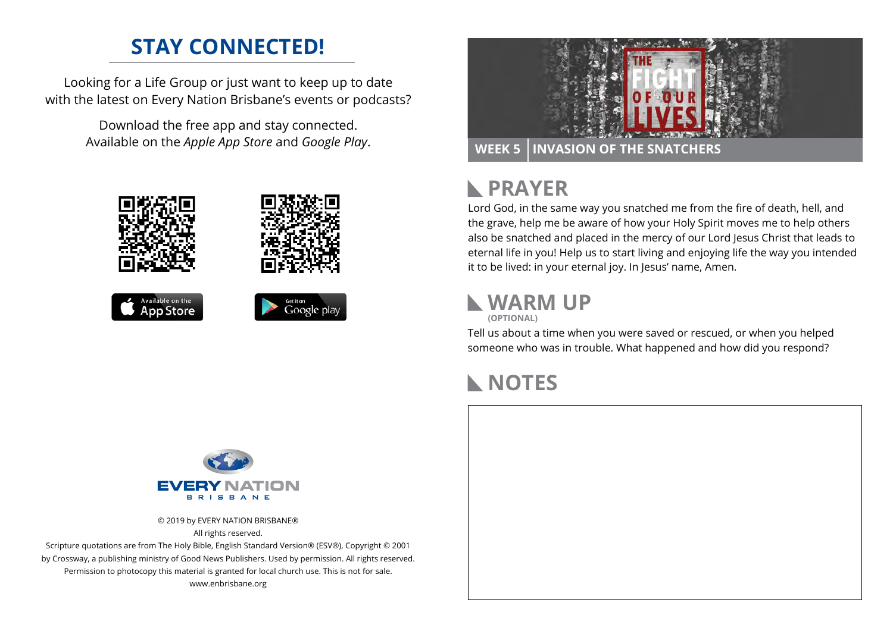## **STAY CONNECTED!**

Looking for a Life Group or just want to keep up to date with the latest on Every Nation Brisbane's events or podcasts?

> Download the free app and stay connected. Available on the *Apple App Store* and *Google Play*.





#### **PRAYER**  $\mathbb{R}$

Lord God, in the same way you snatched me from the fire of death, hell, and the grave, help me be aware of how your Holy Spirit moves me to help others also be snatched and placed in the mercy of our Lord Jesus Christ that leads to eternal life in you! Help us to start living and enjoying life the way you intended it to be lived: in your eternal joy. In Jesus' name, Amen.

### **WARM UP (OPTIONAL)**

Tell us about a time when you were saved or rescued, or when you helped someone who was in trouble. What happened and how did you respond?

### **NOTES**



© 2019 by EVERY NATION BRISBANE® All rights reserved.

Scripture quotations are from The Holy Bible, English Standard Version® (ESV®), Copyright © 2001 by Crossway, a publishing ministry of Good News Publishers. Used by permission. All rights reserved. Permission to photocopy this material is granted for local church use. This is not for sale. www.enbrisbane.org